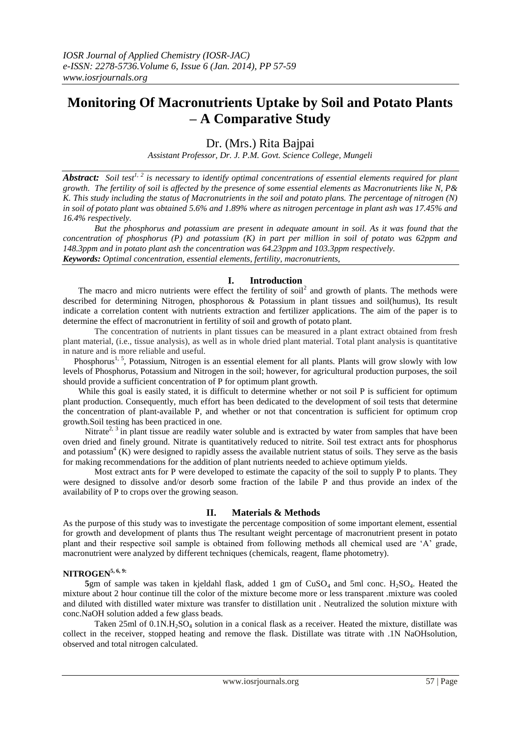# **Monitoring Of Macronutrients Uptake by Soil and Potato Plants – A Comparative Study**

Dr. (Mrs.) Rita Bajpai

*Assistant Professor, Dr. J. P.M. Govt. Science College, Mungeli*

*Abstract: Soil test1, 2 is necessary to identify optimal concentrations of essential elements required for plant growth. The fertility of soil is affected by the presence of some essential elements as Macronutrients like N, P& K. This study including the status of Macronutrients in the soil and potato plans. The percentage of nitrogen (N) in soil of potato plant was obtained 5.6% and 1.89% where as nitrogen percentage in plant ash was 17.45% and 16.4% respectively.*

*But the phosphorus and potassium are present in adequate amount in soil. As it was found that the concentration of phosphorus (P) and potassium (K) in part per million in soil of potato was 62ppm and 148.3ppm and in potato plant ash the concentration was 64.23ppm and 103.3ppm respectively. Keywords: Optimal concentration, essential elements, fertility, macronutrients,* 

### **I. Introduction**

The macro and micro nutrients were effect the fertility of soil<sup>2</sup> and growth of plants. The methods were described for determining Nitrogen, phosphorous & Potassium in plant tissues and soil(humus), Its result indicate a correlation content with nutrients extraction and fertilizer applications. The aim of the paper is to determine the effect of macronutrient in fertility of soil and growth of potato plant.

The concentration of nutrients in plant tissues can be measured in a plant extract obtained from fresh plant material, (i.e., tissue analysis), as well as in whole dried plant material. Total plant analysis is quantitative in nature and is more reliable and useful.

Phosphorus<sup>1, 5</sup>, Potassium, Nitrogen is an essential element for all plants. Plants will grow slowly with low levels of Phosphorus, Potassium and Nitrogen in the soil; however, for agricultural production purposes, the soil should provide a sufficient concentration of P for optimum plant growth.

While this goal is easily stated, it is difficult to determine whether or not soil P is sufficient for optimum plant production. Consequently, much effort has been dedicated to the development of soil tests that determine the concentration of plant-available P, and whether or not that concentration is sufficient for optimum crop growth.Soil testing has been practiced in one.

Nitrate<sup>2, 3</sup> in plant tissue are readily water soluble and is extracted by water from samples that have been oven dried and finely ground. Nitrate is quantitatively reduced to nitrite. Soil test extract ants for phosphorus and potassium<sup>4</sup> (K) were designed to rapidly assess the available nutrient status of soils. They serve as the basis for making recommendations for the addition of plant nutrients needed to achieve optimum yields.

Most extract ants for P were developed to estimate the capacity of the soil to supply P to plants. They were designed to dissolve and/or desorb some fraction of the labile P and thus provide an index of the availability of P to crops over the growing season.

### **II. Materials & Methods**

As the purpose of this study was to investigate the percentage composition of some important element, essential for growth and development of plants thus The resultant weight percentage of macronutrient present in potato plant and their respective soil sample is obtained from following methods all chemical used are "A" grade, macronutrient were analyzed by different techniques (chemicals, reagent, flame photometry).

### **NITROGEN5, 6, 9:**

**5**gm of sample was taken in kjeldahl flask, added 1 gm of  $CuSO<sub>4</sub>$  and 5ml conc.  $H<sub>2</sub>SO<sub>4</sub>$ . Heated the mixture about 2 hour continue till the color of the mixture become more or less transparent .mixture was cooled and diluted with distilled water mixture was transfer to distillation unit . Neutralized the solution mixture with conc.NaOH solution added a few glass beads.

Taken 25ml of 0.1N.H<sub>2</sub>SO<sub>4</sub> solution in a conical flask as a receiver. Heated the mixture, distillate was collect in the receiver, stopped heating and remove the flask. Distillate was titrate with .1N NaOHsolution, observed and total nitrogen calculated.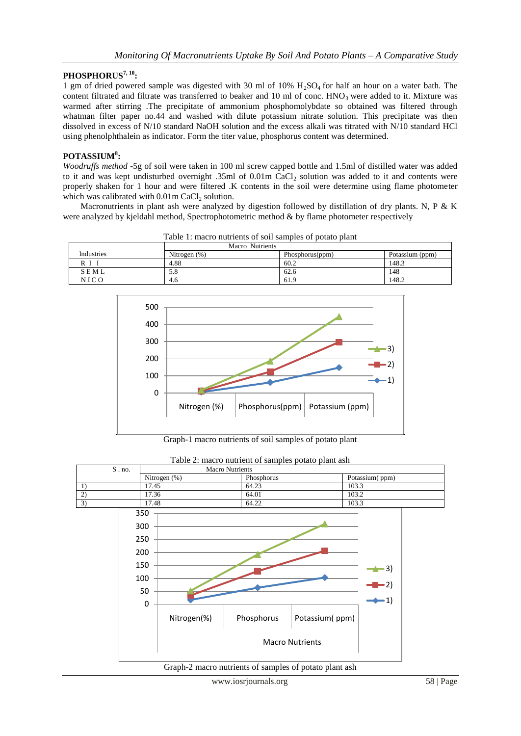## **PHOSPHORUS7, 10:**

1 gm of dried powered sample was digested with 30 ml of 10% H2SO4 for half an hour on a water bath. The content filtrated and filtrate was transferred to beaker and 10 ml of conc.  $HNO<sub>3</sub>$  were added to it. Mixture was warmed after stirring .The precipitate of ammonium phosphomolybdate so obtained was filtered through whatman filter paper no.44 and washed with dilute potassium nitrate solution. This precipitate was then dissolved in excess of N/10 standard NaOH solution and the excess alkali was titrated with N/10 standard HCl using phenolphthalein as indicator. Form the titer value, phosphorus content was determined.

### **POTASSIUM<sup>8</sup> :**

*Woodruffs method* **-**5g of soil were taken in 100 ml screw capped bottle and 1.5ml of distilled water was added to it and was kept undisturbed overnight .35ml of 0.01m CaCl<sub>2</sub> solution was added to it and contents were properly shaken for 1 hour and were filtered .K contents in the soil were determine using flame photometer which was calibrated with  $0.01$ m CaCl<sub>2</sub> solution.

 Macronutrients in plant ash were analyzed by digestion followed by distillation of dry plants. N, P & K were analyzed by kjeldahl method, Spectrophotometric method & by flame photometer respectively

|             | Macro Nutrients |                 |                 |  |
|-------------|-----------------|-----------------|-----------------|--|
| Industries  | Nitrogen $(\%)$ | Phosphorus(ppm) | Potassium (ppm) |  |
|             | 4.88            | 60.2            | 148.3           |  |
| SEML        | 5.8             | 62.6            | 148             |  |
| <b>NICO</b> | 4.6             | 61.9            | 148.2           |  |

Table 1: macro nutrients of soil samples of potato plant



Graph-1 macro nutrients of soil samples of potato plant

| $S$ . no.       | <b>Macro Nutrients</b> |                        |                |                         |  |
|-----------------|------------------------|------------------------|----------------|-------------------------|--|
|                 | Nitrogen (%)           | Phosphorus             |                | Potassium(ppm)          |  |
| 1)              | 17.45                  | 64.23                  | 103.3          |                         |  |
| 2)              | 17.36                  | 64.01                  | 103.2          |                         |  |
| $\overline{3)}$ | 17.48                  | 64.22                  | 103.3          |                         |  |
|                 | 350<br>300<br>250      |                        |                |                         |  |
|                 | 200<br>150             |                        |                |                         |  |
|                 | 100                    |                        |                | $\triangle$ 3)<br>$-2)$ |  |
|                 | 50                     |                        |                |                         |  |
|                 | $\boldsymbol{0}$       |                        |                | $-1)$                   |  |
|                 | Nitrogen(%)            | Phosphorus             | Potassium(ppm) |                         |  |
|                 |                        | <b>Macro Nutrients</b> |                |                         |  |

Table 2: macro nutrient of samples potato plant ash

Graph-2 macro nutrients of samples of potato plant ash